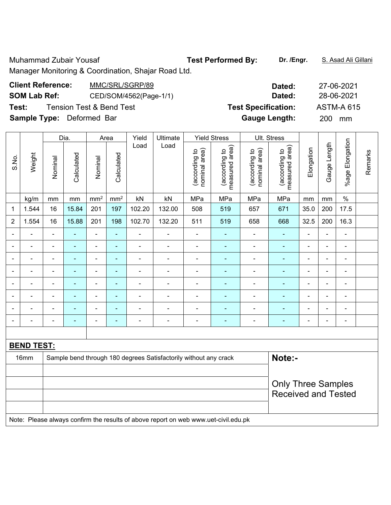Muhammad Zubair Yousaf **Test Performed By:** Dr. /Engr. **S. Asad Ali Gillani** 

Manager Monitoring & Coordination, Shajar Road Ltd.

| <b>Client Reference:</b>         | MMC/SRL/SGRP/89          | Dated:                     | 27-06-2021        |
|----------------------------------|--------------------------|----------------------------|-------------------|
| <b>SOM Lab Ref:</b>              | CED/SOM/4562(Page-1/1)   | Dated:                     | 28-06-2021        |
| Test:                            | Tension Test & Bend Test | <b>Test Specification:</b> | <b>ASTM-A 615</b> |
| <b>Sample Type:</b> Deformed Bar |                          | <b>Gauge Length:</b>       | <b>200</b><br>mm  |

|                |                   |                | Dia.           |                 | Area                         | Yield                        | Ultimate                                                                            |                                | <b>Yield Stress</b>             |                                | Ult. Stress                                             |                          |                          |                          |         |
|----------------|-------------------|----------------|----------------|-----------------|------------------------------|------------------------------|-------------------------------------------------------------------------------------|--------------------------------|---------------------------------|--------------------------------|---------------------------------------------------------|--------------------------|--------------------------|--------------------------|---------|
| S.No.          | Weight            | Nominal        | Calculated     | Nominal         | Calculated                   | Load                         | Load                                                                                | nominal area)<br>(according to | measured area)<br>(according to | (according to<br>nominal area) | measured area)<br>(according to                         | Elongation               | Gauge Length             | %age Elongation          | Remarks |
|                | kg/m              | mm             | mm             | mm <sup>2</sup> | mm <sup>2</sup>              | kN                           | kN                                                                                  | MPa                            | MPa                             | MPa                            | MPa                                                     | mm                       | mm                       | $\%$                     |         |
| $\mathbf 1$    | 1.544             | 16             | 15.84          | 201             | 197                          | 102.20                       | 132.00                                                                              | 508                            | 519                             | 657                            | 671                                                     | 35.0                     | 200                      | 17.5                     |         |
| $\overline{2}$ | 1.554             | 16             | 15.88          | 201             | 198                          | 102.70                       | 132.20                                                                              | 511                            | 519                             | 658                            | 668                                                     | 32.5                     | 200                      | 16.3                     |         |
| $\blacksquare$ | ä,                | $\blacksquare$ | $\blacksquare$ | $\blacksquare$  | ÷                            | ÷,                           | $\overline{\phantom{a}}$                                                            | $\overline{\phantom{a}}$       | $\blacksquare$                  | $\blacksquare$                 | $\blacksquare$                                          | $\overline{\phantom{a}}$ | $\blacksquare$           | $\blacksquare$           |         |
|                |                   | $\blacksquare$ | $\blacksquare$ | $\blacksquare$  | $\qquad \qquad \blacksquare$ | ÷,                           | $\overline{\phantom{a}}$                                                            | $\blacksquare$                 | $\blacksquare$                  | $\blacksquare$                 | $\blacksquare$                                          | $\overline{a}$           | L,                       | $\overline{\phantom{a}}$ |         |
|                | ä,                | $\blacksquare$ | $\blacksquare$ | $\blacksquare$  | $\blacksquare$               | $\blacksquare$               | ä,                                                                                  | $\blacksquare$                 | $\blacksquare$                  | $\blacksquare$                 | ٠                                                       | $\blacksquare$           | $\blacksquare$           | $\blacksquare$           |         |
|                | ÷                 | $\blacksquare$ | $\blacksquare$ | ÷,              | $\blacksquare$               | $\qquad \qquad \blacksquare$ | Ē,                                                                                  | $\blacksquare$                 | $\blacksquare$                  | $\blacksquare$                 | $\blacksquare$                                          | $\blacksquare$           | $\overline{\phantom{a}}$ | $\overline{\phantom{a}}$ |         |
|                |                   | $\blacksquare$ | $\blacksquare$ | $\blacksquare$  | $\blacksquare$               | ÷                            | ÷                                                                                   | $\blacksquare$                 | $\blacksquare$                  | $\blacksquare$                 | $\blacksquare$                                          | $\blacksquare$           | $\overline{a}$           | $\blacksquare$           |         |
|                |                   |                |                |                 |                              | ٠                            |                                                                                     | Ē,                             |                                 |                                | ٠                                                       |                          | ÷                        | $\overline{\phantom{0}}$ |         |
|                |                   |                |                | $\blacksquare$  | ÷                            | ٠                            |                                                                                     | $\blacksquare$                 | ٠                               | $\blacksquare$                 | ٠                                                       |                          | Ē,                       | $\blacksquare$           |         |
| $\blacksquare$ |                   | $\blacksquare$ | $\blacksquare$ | $\blacksquare$  | ۰                            | $\blacksquare$               | $\overline{\phantom{a}}$                                                            | $\blacksquare$                 | $\overline{\phantom{0}}$        | $\blacksquare$                 | ٠                                                       | $\overline{a}$           | $\blacksquare$           | $\blacksquare$           |         |
|                |                   |                |                |                 |                              |                              |                                                                                     |                                |                                 |                                |                                                         |                          |                          |                          |         |
|                | <b>BEND TEST:</b> |                |                |                 |                              |                              |                                                                                     |                                |                                 |                                |                                                         |                          |                          |                          |         |
|                | 16mm              |                |                |                 |                              |                              | Sample bend through 180 degrees Satisfactorily without any crack                    |                                |                                 |                                | Note:-                                                  |                          |                          |                          |         |
|                |                   |                |                |                 |                              |                              |                                                                                     |                                |                                 |                                |                                                         |                          |                          |                          |         |
|                |                   |                |                |                 |                              |                              |                                                                                     |                                |                                 |                                | <b>Only Three Samples</b><br><b>Received and Tested</b> |                          |                          |                          |         |
|                |                   |                |                |                 |                              |                              |                                                                                     |                                |                                 |                                |                                                         |                          |                          |                          |         |
|                |                   |                |                |                 |                              |                              | Note: Please always confirm the results of above report on web www.uet-civil.edu.pk |                                |                                 |                                |                                                         |                          |                          |                          |         |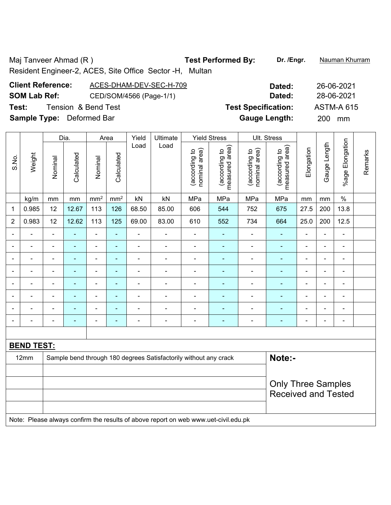Maj Tanveer Ahmad (R ) **Test Performed By:** Dr. /Engr. **Nauman Khurram** Resident Engineer-2, ACES, Site Office Sector -H, Multan

| <b>Client Reference:</b>         | ACES-DHAM-DEV-SEC-H-709 | Dated:                     | 26-06-2021        |
|----------------------------------|-------------------------|----------------------------|-------------------|
| <b>SOM Lab Ref:</b>              | CED/SOM/4566 (Page-1/1) | Dated:                     | 28-06-2021        |
| Test:                            | Tension & Bend Test     | <b>Test Specification:</b> | <b>ASTM-A 615</b> |
| <b>Sample Type:</b> Deformed Bar |                         | <b>Gauge Length:</b>       | <b>200</b><br>mm  |

|                          |                   |                              | Dia.           |                 | Area                     | Yield          | Ultimate                                                                            |                                | <b>Yield Stress</b>             |                                | Ult. Stress                                             |                |                |                          |         |
|--------------------------|-------------------|------------------------------|----------------|-----------------|--------------------------|----------------|-------------------------------------------------------------------------------------|--------------------------------|---------------------------------|--------------------------------|---------------------------------------------------------|----------------|----------------|--------------------------|---------|
| S.No.                    | Weight            | Nominal                      | Calculated     | Nominal         | Calculated               | Load           | Load                                                                                | nominal area)<br>(according to | (according to<br>measured area) | nominal area)<br>(according to | (according to<br>measured area)                         | Elongation     | Gauge Length   | Elongation<br>%age F     | Remarks |
|                          | kg/m              | mm                           | $\,mm$         | mm <sup>2</sup> | mm <sup>2</sup>          | kN             | kN                                                                                  | MPa                            | MPa                             | MPa                            | MPa                                                     | mm             | $\,mm$         | $\%$                     |         |
| 1                        | 0.985             | 12                           | 12.67          | 113             | 126                      | 68.50          | 85.00                                                                               | 606                            | 544                             | 752                            | 675                                                     | 27.5           | 200            | 13.8                     |         |
| $\overline{2}$           | 0.983             | 12                           | 12.62          | 113             | 125                      | 69.00          | 83.00                                                                               | 610                            | 552                             | 734                            | 664                                                     | 25.0           | 200            | 12.5                     |         |
| $\blacksquare$           | $\blacksquare$    | $\blacksquare$               | $\blacksquare$ | $\blacksquare$  | $\blacksquare$           | ä,             | $\blacksquare$                                                                      | $\blacksquare$                 | $\blacksquare$                  | $\blacksquare$                 | $\blacksquare$                                          | $\blacksquare$ | $\blacksquare$ | ÷,                       |         |
|                          | ÷                 | $\blacksquare$               | $\blacksquare$ | $\overline{a}$  | $\blacksquare$           | ÷,             | $\qquad \qquad \blacksquare$                                                        | $\blacksquare$                 | ۰                               | $\overline{\phantom{a}}$       | ٠                                                       | $\blacksquare$ | $\blacksquare$ | $\overline{\phantom{0}}$ |         |
| $\blacksquare$           | ä,                | $\blacksquare$               | $\blacksquare$ | $\blacksquare$  | $\blacksquare$           | ÷.             | $\overline{\phantom{a}}$                                                            | $\blacksquare$                 | $\blacksquare$                  | $\blacksquare$                 | ٠                                                       | $\blacksquare$ | $\blacksquare$ | $\blacksquare$           |         |
|                          | $\blacksquare$    | $\qquad \qquad \blacksquare$ | ÷              | ÷,              | $\blacksquare$           | $\overline{a}$ | $\blacksquare$                                                                      | $\blacksquare$                 | $\overline{\phantom{0}}$        | $\blacksquare$                 | $\blacksquare$                                          | $\blacksquare$ |                | ۰                        |         |
|                          |                   | $\blacksquare$               | $\blacksquare$ | ÷               | $\overline{a}$           | ÷              | $\blacksquare$                                                                      |                                | $\blacksquare$                  |                                | ÷                                                       |                | $\blacksquare$ | $\blacksquare$           |         |
|                          |                   |                              |                | ÷               | $\overline{\phantom{0}}$ | $\blacksquare$ |                                                                                     |                                |                                 |                                |                                                         |                | $\blacksquare$ | ۰                        |         |
|                          |                   |                              |                | ÷               | ۳                        | ۰              | ÷                                                                                   |                                | $\blacksquare$                  |                                | $\blacksquare$                                          |                | $\blacksquare$ | ۰                        |         |
| $\overline{\phantom{0}}$ |                   | $\blacksquare$               |                | $\blacksquare$  | $\blacksquare$           | $\blacksquare$ | $\blacksquare$                                                                      | $\blacksquare$                 | $\overline{\phantom{0}}$        | $\blacksquare$                 | ۰                                                       | $\blacksquare$ |                | $\overline{\phantom{a}}$ |         |
|                          |                   |                              |                |                 |                          |                |                                                                                     |                                |                                 |                                |                                                         |                |                |                          |         |
|                          | <b>BEND TEST:</b> |                              |                |                 |                          |                |                                                                                     |                                |                                 |                                |                                                         |                |                |                          |         |
|                          | 12mm              |                              |                |                 |                          |                | Sample bend through 180 degrees Satisfactorily without any crack                    |                                |                                 |                                | Note:-                                                  |                |                |                          |         |
|                          |                   |                              |                |                 |                          |                |                                                                                     |                                |                                 |                                |                                                         |                |                |                          |         |
|                          |                   |                              |                |                 |                          |                |                                                                                     |                                |                                 |                                | <b>Only Three Samples</b><br><b>Received and Tested</b> |                |                |                          |         |
|                          |                   |                              |                |                 |                          |                | Note: Please always confirm the results of above report on web www.uet-civil.edu.pk |                                |                                 |                                |                                                         |                |                |                          |         |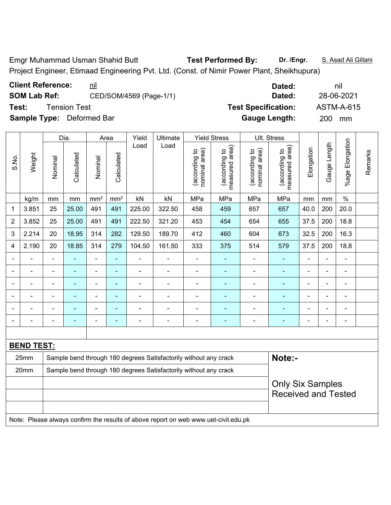Emgr Muhammad Usman Shahid Butt **Test Performed By: Dr. /Engr.** S. Asad Ali Gillani Project Engineer, Etimaad Engineering Pvt. Ltd. (Const. of Nimir Power Plant, Sheikhupura)

|                |                   |                                                                                     | Dia.           | Ult. Stress<br>Yield<br>Ultimate<br><b>Yield Stress</b><br>Area<br>Load<br>Load |                          |                |                                                                  |                                |                                 |                                |                                 |                |                |                          |         |  |
|----------------|-------------------|-------------------------------------------------------------------------------------|----------------|---------------------------------------------------------------------------------|--------------------------|----------------|------------------------------------------------------------------|--------------------------------|---------------------------------|--------------------------------|---------------------------------|----------------|----------------|--------------------------|---------|--|
| S.No.          | Weight            | Nominal                                                                             | Calculated     | Nominal                                                                         | Calculated               |                |                                                                  | nominal area)<br>(according to | measured area)<br>(according to | nominal area)<br>(according to | (according to<br>measured area) | Elongation     | Gauge Length   | Elongation<br>%age I     | Remarks |  |
|                | kg/m              | mm                                                                                  | mm             | mm <sup>2</sup>                                                                 | mm <sup>2</sup>          | kN             | kN                                                               | MPa                            | MPa                             | MPa                            | MPa                             | mm             | mm             | $\%$                     |         |  |
| 1              | 3.851             | 25                                                                                  | 25.00          | 491                                                                             | 491                      | 225.00         | 322.50                                                           | 458                            | 459                             | 657                            | 657                             | 40.0           | 200            | 20.0                     |         |  |
| $\overline{2}$ | 3.852             | 25                                                                                  | 25.00          | 491                                                                             | 491                      | 222.50         | 321.20                                                           | 453                            | 454                             | 654                            | 655                             | 37.5           | 200            | 18.8                     |         |  |
| 3              | 2.214             | 20                                                                                  | 18.95          | 314                                                                             | 282                      | 129.50         | 189.70                                                           | 412                            | 460                             | 604                            | 673                             | 32.5           | 200            | 16.3                     |         |  |
| 4              | 2.190             | 20                                                                                  | 18.85          | 314                                                                             | 279                      | 104.50         | 161.50                                                           | 333                            | 375                             | 514                            | 579                             | 37.5           | 200            | 18.8                     |         |  |
|                |                   | ä,                                                                                  | ä,             | $\blacksquare$                                                                  | ä,                       | ä,             | Ē,                                                               | $\blacksquare$                 | ÷                               | ÷,                             | $\blacksquare$                  |                | L,             | ä,                       |         |  |
|                | $\blacksquare$    | $\blacksquare$                                                                      | $\blacksquare$ | ä,                                                                              | ä,                       | ä,             | $\blacksquare$                                                   | $\blacksquare$                 | ä,                              | $\blacksquare$                 | L,                              |                | ä,             | ä,                       |         |  |
|                |                   |                                                                                     |                |                                                                                 | $\blacksquare$           |                |                                                                  |                                |                                 |                                |                                 |                |                | $\blacksquare$           |         |  |
|                |                   |                                                                                     |                | L,                                                                              |                          |                |                                                                  |                                |                                 |                                |                                 |                | ä,             | ä,                       |         |  |
|                |                   | $\blacksquare$                                                                      | $\blacksquare$ |                                                                                 | $\overline{\phantom{0}}$ |                | ٠                                                                | ٠                              | ٠                               | ۰                              |                                 |                | $\overline{a}$ | $\overline{\phantom{0}}$ |         |  |
| $\blacksquare$ |                   | Ē,                                                                                  | $\blacksquare$ | $\overline{a}$                                                                  | $\blacksquare$           | $\blacksquare$ | $\overline{\phantom{a}}$                                         | $\blacksquare$                 | $\blacksquare$                  | $\blacksquare$                 | ä,                              | $\blacksquare$ | -              | $\overline{\phantom{a}}$ |         |  |
|                |                   |                                                                                     |                |                                                                                 |                          |                |                                                                  |                                |                                 |                                |                                 |                |                |                          |         |  |
|                | <b>BEND TEST:</b> |                                                                                     |                |                                                                                 |                          |                |                                                                  |                                |                                 |                                |                                 |                |                |                          |         |  |
|                | 25mm              |                                                                                     |                |                                                                                 |                          |                | Sample bend through 180 degrees Satisfactorily without any crack |                                |                                 |                                | Note:-                          |                |                |                          |         |  |
|                | 20mm              | Sample bend through 180 degrees Satisfactorily without any crack                    |                |                                                                                 |                          |                |                                                                  |                                |                                 |                                |                                 |                |                |                          |         |  |
|                |                   |                                                                                     |                |                                                                                 |                          |                |                                                                  |                                |                                 |                                | <b>Only Six Samples</b>         |                |                |                          |         |  |
|                |                   |                                                                                     |                |                                                                                 |                          |                |                                                                  |                                |                                 |                                | <b>Received and Tested</b>      |                |                |                          |         |  |
|                |                   |                                                                                     |                |                                                                                 |                          |                |                                                                  |                                |                                 |                                |                                 |                |                |                          |         |  |
|                |                   | Note: Please always confirm the results of above report on web www.uet-civil.edu.pk |                |                                                                                 |                          |                |                                                                  |                                |                                 |                                |                                 |                |                |                          |         |  |

**Client Reference:**  $\frac{nil}{!}$  and  $\frac{1}{!}$  and  $\frac{1}{!}$  and  $\frac{1}{!}$  and  $\frac{1}{!}$  and  $\frac{1}{!}$  and  $\frac{1}{!}$  and  $\frac{1}{!}$  and  $\frac{1}{!}$  and  $\frac{1}{!}$  and  $\frac{1}{!}$  and  $\frac{1}{!}$  and  $\frac{1}{!}$  and  $\frac{1}{!}$  and  $\frac{1}{$ **SOM Lab Ref:** CED/SOM/4569 (Page-1/1) **Dated:** 28-06-2021 **Test:** Tension Test **Test Specification:** ASTM-A-615 **Sample Type:** Deformed Bar **Gauge Length:** 200 mm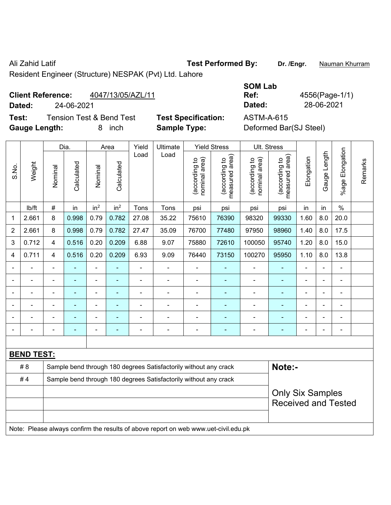Ali Zahid Latif **Test Performed By:** Dr. /Engr. **Nauman Khurram** 

Resident Engineer (Structure) NESPAK (Pvt) Ltd. Lahore

# **Client Reference:** 4047/13/05/AZL/11

**Test:** Tension Test & Bend Test **Test Specification:** ASTM-A-615 **Gauge Length:** 8 inch **Sample Type:** Deformed Bar(SJ Steel)

|                   |                                               |                            | <b>SOM Lab</b> |                |
|-------------------|-----------------------------------------------|----------------------------|----------------|----------------|
|                   | <b>Client Reference:</b><br>4047/13/05/AZL/11 |                            | Ref:           | 4556(Page-1/1) |
| Dated:            | 24-06-2021                                    |                            | Dated:         | 28-06-2021     |
| Test <sup>.</sup> | Tension Test & Rend Test                      | <b>Test Specification:</b> | ASTM-A-615     |                |

|                          |                   |                          | Dia.           |                              | Area                     | Yield                    | Ultimate                                                                            |                                | <b>Yield Stress</b>             |                                | Ult. Stress                                           |                |                |                          |         |
|--------------------------|-------------------|--------------------------|----------------|------------------------------|--------------------------|--------------------------|-------------------------------------------------------------------------------------|--------------------------------|---------------------------------|--------------------------------|-------------------------------------------------------|----------------|----------------|--------------------------|---------|
| S.No.                    | Weight            | Nominal                  | Calculated     | Nominal                      | Calculated               | Load                     | Load                                                                                | (according to<br>nominal area) | (according to<br>measured area) | (according to<br>nominal area) | (according to<br>measured area)                       | Elongation     | Gauge Length   | Elongation<br>$%$ age    | Remarks |
|                          | lb/ft             | $\#$                     | in             | in <sup>2</sup>              | in <sup>2</sup>          | Tons                     | Tons                                                                                | psi                            | psi                             | psi                            | psi                                                   | in             | in             | $\%$                     |         |
| $\mathbf{1}$             | 2.661             | 8                        | 0.998          | 0.79                         | 0.782                    | 27.08                    | 35.22                                                                               | 75610                          | 76390                           | 98320                          | 99330                                                 | 1.60           | 8.0            | 20.0                     |         |
| $\overline{2}$           | 2.661             | 8                        | 0.998          | 0.79                         | 0.782                    | 27.47                    | 35.09                                                                               | 76700                          | 77480                           | 97950                          | 98960                                                 | 1.40           | 8.0            | 17.5                     |         |
| 3                        | 0.712             | 4                        | 0.516          | 0.20                         | 0.209                    | 6.88                     | 9.07                                                                                | 75880                          | 72610                           | 100050                         | 95740                                                 | 1.20           | 8.0            | 15.0                     |         |
| $\overline{\mathbf{4}}$  | 0.711             | 4                        | 0.516          | 0.20                         | 0.209                    | 6.93                     | 9.09                                                                                | 76440                          | 73150                           | 100270                         | 95950                                                 | 1.10           | 8.0            | 13.8                     |         |
| $\overline{\phantom{a}}$ | $\blacksquare$    | $\blacksquare$           | ÷              | $\qquad \qquad \blacksquare$ | ÷                        | $\blacksquare$           | $\blacksquare$                                                                      | $\blacksquare$                 | ÷                               | ÷,                             | ÷                                                     | ÷,             | ä,             | $\blacksquare$           |         |
| $\blacksquare$           | ä,                | ä,                       | $\blacksquare$ | $\blacksquare$               | $\blacksquare$           | $\overline{\phantom{a}}$ | $\blacksquare$                                                                      | ä,                             | ÷                               | $\blacksquare$                 | ÷                                                     | ä,             |                | ÷,                       |         |
| $\blacksquare$           |                   | L,                       |                |                              | L,                       | ä,                       | ä,                                                                                  | $\blacksquare$                 | ä,                              | ä,                             | ä,                                                    | Ĭ.             |                | ä,                       |         |
| $\blacksquare$           |                   | Ē,                       |                |                              |                          |                          | Ē,                                                                                  | $\blacksquare$                 | ۰                               | ä,                             |                                                       | $\blacksquare$ |                | ÷.                       |         |
| $\blacksquare$           |                   | ÷                        |                | $\blacksquare$               | $\overline{\phantom{a}}$ | $\blacksquare$           | $\blacksquare$                                                                      | $\blacksquare$                 | ۰                               | $\blacksquare$                 |                                                       | ÷              | $\blacksquare$ | $\overline{\phantom{0}}$ |         |
| $\blacksquare$           | $\blacksquare$    | $\overline{\phantom{a}}$ | $\blacksquare$ | ÷                            | ۰                        | $\blacksquare$           | $\blacksquare$                                                                      | $\qquad \qquad \blacksquare$   | ÷                               | $\blacksquare$                 | ٠                                                     | $\blacksquare$ | ä,             | $\frac{1}{2}$            |         |
|                          |                   |                          |                |                              |                          |                          |                                                                                     |                                |                                 |                                |                                                       |                |                |                          |         |
|                          | <b>BEND TEST:</b> |                          |                |                              |                          |                          |                                                                                     |                                |                                 |                                |                                                       |                |                |                          |         |
|                          | # 8               |                          |                |                              |                          |                          | Sample bend through 180 degrees Satisfactorily without any crack                    |                                |                                 |                                | Note:-                                                |                |                |                          |         |
|                          | #4                |                          |                |                              |                          |                          | Sample bend through 180 degrees Satisfactorily without any crack                    |                                |                                 |                                |                                                       |                |                |                          |         |
|                          |                   |                          |                |                              |                          |                          |                                                                                     |                                |                                 |                                | <b>Only Six Samples</b><br><b>Received and Tested</b> |                |                |                          |         |
|                          |                   |                          |                |                              |                          |                          | Note: Please always confirm the results of above report on web www.uet-civil.edu.pk |                                |                                 |                                |                                                       |                |                |                          |         |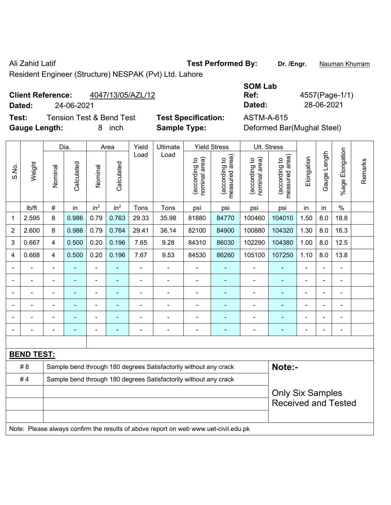Ali Zahid Latif **Test Performed By:** Dr. /Engr. **Nauman Khurram** 

Resident Engineer (Structure) NESPAK (Pvt) Ltd. Lahore

## **Client Reference:** 4047/13/05/AZL/12

**Test:** Tension Test & Bend Test **Test Specification:** ASTM-A-615 **Gauge Length:** 8 inch **Sample Type:** Deformed Bar(Mughal Steel)

|                          |                   | <b>SOM Lab</b> |                |
|--------------------------|-------------------|----------------|----------------|
| <b>Client Reference:</b> | 4047/13/05/AZL/12 | Ref:           | 4557(Page-1/1) |
| Dated:                   | 24-06-2021        | Dated:         | 28-06-2021     |
|                          |                   |                |                |

|                |                   |                | Dia.           |                 | Area            | Yield          | Ultimate                                                                            |                                | <b>Yield Stress</b>             |                                | Ult. Stress                                           |            |              |                       |         |
|----------------|-------------------|----------------|----------------|-----------------|-----------------|----------------|-------------------------------------------------------------------------------------|--------------------------------|---------------------------------|--------------------------------|-------------------------------------------------------|------------|--------------|-----------------------|---------|
| S.No.          | Weight            | Nominal        | Calculated     | Nominal         | Calculated      | Load           | Load                                                                                | nominal area)<br>(according to | (according to<br>measured area) | nominal area)<br>(according to | (according to<br>measured area)                       | Elongation | Gauge Length | Elongation<br>$%$ age | Remarks |
|                | lb/ft             | $\#$           | in             | in <sup>2</sup> | in <sup>2</sup> | Tons           | Tons                                                                                | psi                            | psi                             | psi                            | psi                                                   | in         | in           | $\frac{0}{0}$         |         |
| 1              | 2.595             | 8              | 0.986          | 0.79            | 0.763           | 29.33          | 35.98                                                                               | 81880                          | 84770                           | 100460                         | 104010                                                | 1.50       | 8.0          | 18.8                  |         |
| $\overline{2}$ | 2.600             | 8              | 0.986          | 0.79            | 0.764           | 29.41          | 36.14                                                                               | 82100                          | 84900                           | 100880                         | 104320                                                | 1.30       | 8.0          | 16.3                  |         |
| 3              | 0.667             | 4              | 0.500          | 0.20            | 0.196           | 7.65           | 9.28                                                                                | 84310                          | 86030                           | 102290                         | 104380                                                | 1.00       | 8.0          | 12.5                  |         |
| 4              | 0.668             | 4              | 0.500          | 0.20            | 0.196           | 7.67           | 9.53                                                                                | 84530                          | 86260                           | 105100                         | 107250                                                | 1.10       | 8.0          | 13.8                  |         |
|                | $\blacksquare$    | ÷,             | L,             | ÷               |                 | $\blacksquare$ | ä,                                                                                  | ä,                             |                                 | $\blacksquare$                 | $\blacksquare$                                        | ÷          |              | $\blacksquare$        |         |
|                | ä,                | ÷,             | $\blacksquare$ | $\blacksquare$  | $\blacksquare$  | $\blacksquare$ | ÷                                                                                   | ä,                             | ä,                              | ä,                             | $\blacksquare$                                        | L.         |              | $\blacksquare$        |         |
|                |                   |                |                |                 |                 | ٠              | ÷                                                                                   | ä,                             |                                 | ä,                             | ä,                                                    | L,         |              |                       |         |
|                |                   |                |                |                 |                 |                |                                                                                     |                                |                                 |                                |                                                       |            |              |                       |         |
|                | $\blacksquare$    | $\blacksquare$ |                |                 |                 |                | ÷                                                                                   | $\blacksquare$                 | ٠                               | $\blacksquare$                 | $\blacksquare$                                        |            |              | $\blacksquare$        |         |
| $\blacksquare$ |                   |                |                | $\overline{a}$  |                 | ä,             | ÷                                                                                   | ä,                             | $\blacksquare$                  | ÷                              | $\blacksquare$                                        | Ē,         |              | $\blacksquare$        |         |
|                |                   |                |                |                 |                 |                |                                                                                     |                                |                                 |                                |                                                       |            |              |                       |         |
|                | <b>BEND TEST:</b> |                |                |                 |                 |                |                                                                                     |                                |                                 |                                |                                                       |            |              |                       |         |
|                | # 8               |                |                |                 |                 |                | Sample bend through 180 degrees Satisfactorily without any crack                    |                                |                                 |                                | Note:-                                                |            |              |                       |         |
|                | #4                |                |                |                 |                 |                | Sample bend through 180 degrees Satisfactorily without any crack                    |                                |                                 |                                |                                                       |            |              |                       |         |
|                |                   |                |                |                 |                 |                |                                                                                     |                                |                                 |                                | <b>Only Six Samples</b><br><b>Received and Tested</b> |            |              |                       |         |
|                |                   |                |                |                 |                 |                | Note: Please always confirm the results of above report on web www.uet-civil.edu.pk |                                |                                 |                                |                                                       |            |              |                       |         |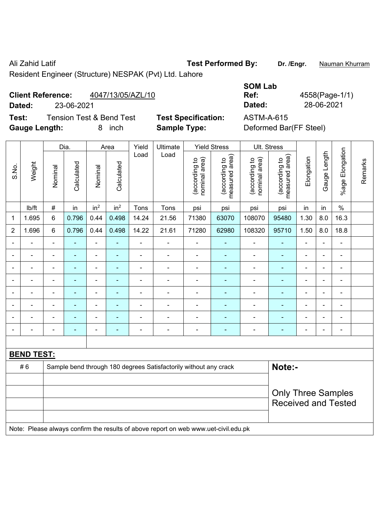Ali Zahid Latif **Test Performed By:** Dr. /Engr. **Nauman Khurram** 

Resident Engineer (Structure) NESPAK (Pvt) Ltd. Lahore

# **Client Reference:** 4047/13/05/AZL/10

**Dated:** 23-06-2021 **Dated:** 28-06-2021

**Test:** Tension Test & Bend Test **Test Specification:** ASTM-A-615 **Gauge Length:** 8 inch **Sample Type:** Deformed Bar(FF Steel)

| <b>SOM Lab</b> |                |
|----------------|----------------|
| Ref:           | 4558(Page-1/1) |
| Dated:         | 28-06-2021     |
| ASTM-A-615     |                |

|                |                   |                | Dia.           |                          | Area            | Yield          | Ultimate                                                                            |                                | <b>Yield Stress</b>             |                                | Ult. Stress                     |                              |                |                          |         |
|----------------|-------------------|----------------|----------------|--------------------------|-----------------|----------------|-------------------------------------------------------------------------------------|--------------------------------|---------------------------------|--------------------------------|---------------------------------|------------------------------|----------------|--------------------------|---------|
| S.No.          | Weight            | Nominal        | Calculated     | Nominal                  | Calculated      | Load           | Load                                                                                | nominal area)<br>(according to | (according to<br>measured area) | (according to<br>nominal area) | (according to<br>measured area) | Elongation                   | Gauge Length   | %age Elongation          | Remarks |
|                | lb/ft             | $\#$           | in             | in <sup>2</sup>          | in <sup>2</sup> | Tons           | Tons                                                                                | psi                            | psi                             | psi                            | psi                             | in                           | in             | $\%$                     |         |
| 1              | 1.695             | 6              | 0.796          | 0.44                     | 0.498           | 14.24          | 21.56                                                                               | 71380                          | 63070                           | 108070                         | 95480                           | 1.30                         | 8.0            | 16.3                     |         |
| $\overline{2}$ | 1.696             | 6              | 0.796          | 0.44                     | 0.498           | 14.22          | 21.61                                                                               | 71280                          | 62980                           | 108320                         | 95710                           | 1.50                         | 8.0            | 18.8                     |         |
|                | $\blacksquare$    | ä,             | L,             | $\blacksquare$           | $\blacksquare$  | $\blacksquare$ | ÷.                                                                                  | ÷,                             | $\blacksquare$                  | $\blacksquare$                 | $\blacksquare$                  | L.                           |                | $\blacksquare$           |         |
| $\blacksquare$ | $\blacksquare$    | ä,             | ÷,             | $\blacksquare$           | ٠               | L,             | $\blacksquare$                                                                      | $\blacksquare$                 | $\blacksquare$                  | $\blacksquare$                 | $\blacksquare$                  | ä,                           | $\blacksquare$ | $\blacksquare$           |         |
| $\blacksquare$ | $\blacksquare$    | $\blacksquare$ | $\blacksquare$ | $\blacksquare$           | ٠               | ÷              | $\blacksquare$                                                                      | $\overline{\phantom{a}}$       | $\blacksquare$                  | $\blacksquare$                 | $\blacksquare$                  | $\qquad \qquad \blacksquare$ | $\blacksquare$ | $\blacksquare$           |         |
|                | $\blacksquare$    | ä,             | ÷,             | $\blacksquare$           | ÷               | $\blacksquare$ | $\blacksquare$                                                                      | $\blacksquare$                 | ۰                               | $\blacksquare$                 | $\blacksquare$                  | L.                           |                | $\blacksquare$           |         |
|                | $\blacksquare$    | ÷              | $\overline{a}$ | $\overline{\phantom{a}}$ | ä,              | $\overline{a}$ | $\blacksquare$                                                                      | $\blacksquare$                 | $\blacksquare$                  | $\blacksquare$                 | $\overline{a}$                  | $\blacksquare$               |                | $\overline{\phantom{0}}$ |         |
|                | $\blacksquare$    | ä,             |                | $\blacksquare$           | $\blacksquare$  | ä,             | $\blacksquare$                                                                      | $\blacksquare$                 |                                 | $\blacksquare$                 | $\blacksquare$                  | ÷                            |                | $\blacksquare$           |         |
| $\blacksquare$ | $\blacksquare$    | ä,             | ۰              | $\blacksquare$           |                 |                | $\blacksquare$                                                                      | $\blacksquare$                 | ۰                               | $\overline{\phantom{a}}$       | $\blacksquare$                  | $\blacksquare$               | $\blacksquare$ | $\blacksquare$           |         |
| $\blacksquare$ | $\blacksquare$    | $\blacksquare$ | $\blacksquare$ | $\blacksquare$           | ٠               | $\blacksquare$ | $\overline{\phantom{0}}$                                                            | $\overline{\phantom{0}}$       | $\blacksquare$                  | $\blacksquare$                 | $\blacksquare$                  | $\blacksquare$               | $\blacksquare$ | $\blacksquare$           |         |
|                |                   |                |                |                          |                 |                |                                                                                     |                                |                                 |                                |                                 |                              |                |                          |         |
|                | <b>BEND TEST:</b> |                |                |                          |                 |                |                                                                                     |                                |                                 |                                |                                 |                              |                |                          |         |
|                | #6                |                |                |                          |                 |                | Sample bend through 180 degrees Satisfactorily without any crack                    |                                |                                 |                                | Note:-                          |                              |                |                          |         |
|                |                   |                |                |                          |                 |                |                                                                                     |                                |                                 |                                |                                 |                              |                |                          |         |
|                |                   |                |                |                          |                 |                |                                                                                     |                                |                                 |                                | <b>Only Three Samples</b>       |                              |                |                          |         |
|                |                   |                |                |                          |                 |                |                                                                                     |                                |                                 |                                | <b>Received and Tested</b>      |                              |                |                          |         |
|                |                   |                |                |                          |                 |                |                                                                                     |                                |                                 |                                |                                 |                              |                |                          |         |
|                |                   |                |                |                          |                 |                | Note: Please always confirm the results of above report on web www.uet-civil.edu.pk |                                |                                 |                                |                                 |                              |                |                          |         |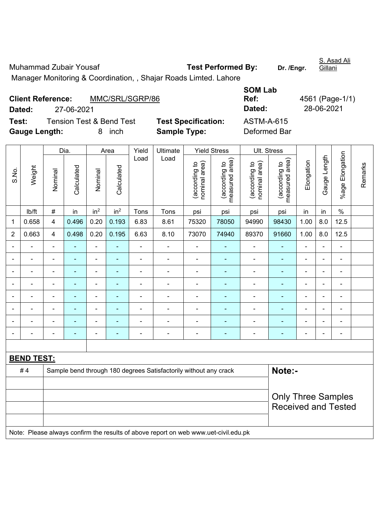Muhammad Zubair Yousaf **Test Performed By:** Dr. /Engr. Gillani Manager Monitoring & Coordination, , Shajar Roads Limted. Lahore

**Client Reference:** MMC/SRL/SGRP/86 **SOM Lab Ref:** 4561 (Page-1/1) **Dated:** 27-06-2021 **Dated:** 28-06-2021 **Test:** Tension Test & Bend Test **Test Specification:** ASTM-A-615 **Gauge Length:** 8 inch **Sample Type:** Deformed Bar

|                |                   | Dia.<br>Yield<br>Ultimate<br><b>Yield Stress</b><br>Ult. Stress<br>Area |                |                 |                 |                          |                                                                                     |                                |                                 |                                |                                 |                |                |                          |         |
|----------------|-------------------|-------------------------------------------------------------------------|----------------|-----------------|-----------------|--------------------------|-------------------------------------------------------------------------------------|--------------------------------|---------------------------------|--------------------------------|---------------------------------|----------------|----------------|--------------------------|---------|
| S.No.          | Weight            | Nominal                                                                 | Calculated     | Nominal         | Calculated      | Load                     | Load                                                                                | nominal area)<br>(according to | measured area)<br>(according to | nominal area)<br>(according to | (according to<br>measured area) | Elongation     | Gauge Length   | Elongation<br>%age l     | Remarks |
|                | lb/ft             | $\#$                                                                    | in             | in <sup>2</sup> | in <sup>2</sup> | Tons                     | Tons                                                                                | psi                            | psi                             | psi                            | psi                             | in             | in             | $\%$                     |         |
| 1              | 0.658             | 4                                                                       | 0.496          | 0.20            | 0.193           | 6.83                     | 8.61                                                                                | 75320                          | 78050                           | 94990                          | 98430                           | 1.00           | 8.0            | 12.5                     |         |
| $\overline{2}$ | 0.663             | 4                                                                       | 0.498          | 0.20            | 0.195           | 6.63                     | 8.10                                                                                | 73070                          | 74940                           | 89370                          | 91660                           | 1.00           | 8.0            | 12.5                     |         |
|                |                   | $\blacksquare$                                                          | ä,             | ÷,              |                 | Ĭ.                       | ä,                                                                                  | ä,                             |                                 | ä,                             | ÷,                              | $\overline{a}$ |                | $\overline{\phantom{a}}$ |         |
|                | ÷                 |                                                                         | ä,             | ÷,              |                 | L,                       | $\blacksquare$                                                                      | $\blacksquare$                 | ä,                              | $\blacksquare$                 | ä,                              | L,             |                | $\blacksquare$           |         |
|                |                   |                                                                         |                | $\blacksquare$  |                 |                          | $\blacksquare$                                                                      |                                |                                 |                                |                                 |                |                |                          |         |
|                |                   |                                                                         | $\overline{a}$ | $\blacksquare$  |                 |                          | $\blacksquare$                                                                      | $\blacksquare$                 |                                 | ÷                              |                                 | L,             |                | $\blacksquare$           |         |
|                |                   | $\blacksquare$                                                          | ۰              | ۰               | ٠               |                          | $\blacksquare$                                                                      | $\blacksquare$                 | ٠                               | $\blacksquare$                 | $\blacksquare$                  | $\blacksquare$ | $\blacksquare$ | $\blacksquare$           |         |
|                | ÷                 | $\blacksquare$                                                          | ۰              | ۰               |                 | $\blacksquare$           | $\blacksquare$                                                                      | $\blacksquare$                 | ٠                               | $\blacksquare$                 | $\blacksquare$                  | ä,             | $\blacksquare$ | $\blacksquare$           |         |
|                |                   | $\blacksquare$                                                          | ۰              | ÷               | ٠               | $\overline{\phantom{0}}$ | $\blacksquare$                                                                      | $\qquad \qquad \blacksquare$   | ٠                               | $\overline{\phantom{a}}$       | $\blacksquare$                  | $\blacksquare$ |                | $\blacksquare$           |         |
|                | ÷                 |                                                                         | ÷,             | ÷               |                 | ÷,                       | $\blacksquare$                                                                      | $\blacksquare$                 |                                 | $\blacksquare$                 | $\blacksquare$                  | L,             |                | ÷,                       |         |
|                |                   |                                                                         |                |                 |                 |                          |                                                                                     |                                |                                 |                                |                                 |                |                |                          |         |
|                | <b>BEND TEST:</b> |                                                                         |                |                 |                 |                          |                                                                                     |                                |                                 |                                |                                 |                |                |                          |         |
|                | #4                |                                                                         |                |                 |                 |                          | Sample bend through 180 degrees Satisfactorily without any crack                    |                                |                                 |                                | Note:-                          |                |                |                          |         |
|                |                   |                                                                         |                |                 |                 |                          |                                                                                     |                                |                                 |                                |                                 |                |                |                          |         |
|                |                   |                                                                         |                |                 |                 |                          |                                                                                     |                                |                                 |                                | <b>Only Three Samples</b>       |                |                |                          |         |
|                |                   |                                                                         |                |                 |                 |                          |                                                                                     |                                |                                 |                                | <b>Received and Tested</b>      |                |                |                          |         |
|                |                   |                                                                         |                |                 |                 |                          |                                                                                     |                                |                                 |                                |                                 |                |                |                          |         |
|                |                   |                                                                         |                |                 |                 |                          | Note: Please always confirm the results of above report on web www.uet-civil.edu.pk |                                |                                 |                                |                                 |                |                |                          |         |

S. Asad Ali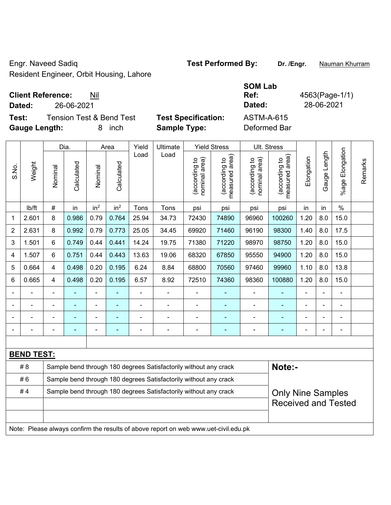Engr. Naveed Sadiq **Test Performed By: Dr. /Engr.** Nauman Khurram Resident Engineer, Orbit Housing, Lahore

# **Client Reference:** Nil

**Test:** Tension Test & Bend Test **Test Specification: Gauge Length:** 8 inch **Sample Type:** Deformed Bar

|                          |                                     |                            | <b>SOM Lab</b> |            |
|--------------------------|-------------------------------------|----------------------------|----------------|------------|
| <b>Client Reference:</b> | Nil                                 | Ref:                       | 4563(Page-1/1) |            |
| Dated:                   | 26-06-2021                          |                            | Dated:         | 28-06-2021 |
| Test:                    | <b>Tension Test &amp; Bend Test</b> | <b>Test Specification:</b> | ASTM-A-615     |            |
|                          |                                     | A - -- - I - TP - - - -    |                |            |

|                |                   |                          | Dia.           |                 | Area            | Yield          | Ultimate                                                                            |                                | <b>Yield Stress</b>             |                                | Ult. Stress                     |            |                |                 |         |
|----------------|-------------------|--------------------------|----------------|-----------------|-----------------|----------------|-------------------------------------------------------------------------------------|--------------------------------|---------------------------------|--------------------------------|---------------------------------|------------|----------------|-----------------|---------|
| S.No.          | Weight            | Nominal                  | Calculated     | Nominal         | Calculated      | Load           | Load                                                                                | (according to<br>nominal area) | (according to<br>measured area) | (according to<br>nominal area) | measured area)<br>(according to | Elongation | Gauge Length   | %age Elongation | Remarks |
|                | lb/ft             | $\#$                     | in             | in <sup>2</sup> | in <sup>2</sup> | Tons           | Tons                                                                                | psi                            | psi                             | psi                            | psi                             | in         | in             | $\%$            |         |
| 1              | 2.601             | 8                        | 0.986          | 0.79            | 0.764           | 25.94          | 34.73                                                                               | 72430                          | 74890                           | 96960                          | 100260                          | 1.20       | 8.0            | 15.0            |         |
| $\overline{2}$ | 2.631             | 8                        | 0.992          | 0.79            | 0.773           | 25.05          | 34.45                                                                               | 69920                          | 71460                           | 96190                          | 98300                           | 1.40       | 8.0            | 17.5            |         |
| 3              | 1.501             | 6                        | 0.749          | 0.44            | 0.441           | 14.24          | 19.75                                                                               | 71380                          | 71220                           | 98970                          | 98750                           | 1.20       | 8.0            | 15.0            |         |
| 4              | 1.507             | 6                        | 0.751          | 0.44            | 0.443           | 13.63          | 19.06                                                                               | 68320                          | 67850                           | 95550                          | 94900                           | 1.20       | 8.0            | 15.0            |         |
| 5              | 0.664             | 4                        | 0.498          | 0.20            | 0.195           | 6.24           | 8.84                                                                                | 68800                          | 70560                           | 97460                          | 99960                           | 1.10       | 8.0            | 13.8            |         |
| 6              | 0.665             | 4                        | 0.498          | 0.20            | 0.195           | 6.57           | 8.92                                                                                | 72510                          | 74360                           | 98360                          | 100880                          | 1.20       | 8.0            | 15.0            |         |
|                |                   | $\blacksquare$           | ÷,             | ÷,              |                 | $\blacksquare$ | ÷,                                                                                  | $\blacksquare$                 | ÷,                              | $\blacksquare$                 | Ē,                              | ÷,         | L,             |                 |         |
|                | $\frac{1}{2}$     | $\overline{\phantom{a}}$ | $\blacksquare$ | ÷               | $\blacksquare$  | $\blacksquare$ | ÷,                                                                                  | $\blacksquare$                 | ä,                              | $\blacksquare$                 | $\blacksquare$                  | ÷,         | $\overline{a}$ | $\blacksquare$  |         |
|                |                   |                          |                |                 |                 | L,             | $\blacksquare$                                                                      | L,                             | ÷,                              | ä,                             |                                 | ÷          |                | ä,              |         |
|                |                   |                          |                |                 |                 |                | $\blacksquare$                                                                      | $\blacksquare$                 | ۰                               |                                | ٠                               |            |                |                 |         |
|                |                   |                          |                |                 |                 |                |                                                                                     |                                |                                 |                                |                                 |            |                |                 |         |
|                | <b>BEND TEST:</b> |                          |                |                 |                 |                |                                                                                     |                                |                                 |                                |                                 |            |                |                 |         |
|                | # 8               |                          |                |                 |                 |                | Sample bend through 180 degrees Satisfactorily without any crack                    |                                |                                 |                                | Note:-                          |            |                |                 |         |
|                | #6                |                          |                |                 |                 |                | Sample bend through 180 degrees Satisfactorily without any crack                    |                                |                                 |                                |                                 |            |                |                 |         |
|                | #4                |                          |                |                 |                 |                | Sample bend through 180 degrees Satisfactorily without any crack                    |                                |                                 |                                | <b>Only Nine Samples</b>        |            |                |                 |         |
|                |                   |                          |                |                 |                 |                |                                                                                     |                                |                                 |                                | <b>Received and Tested</b>      |            |                |                 |         |
|                |                   |                          |                |                 |                 |                |                                                                                     |                                |                                 |                                |                                 |            |                |                 |         |
|                |                   |                          |                |                 |                 |                | Note: Please always confirm the results of above report on web www.uet-civil.edu.pk |                                |                                 |                                |                                 |            |                |                 |         |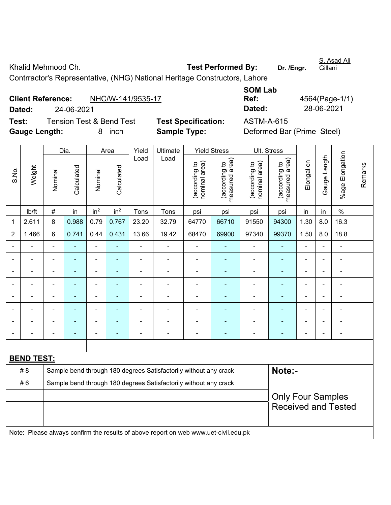Khalid Mehmood Ch. **Test Performed By:** Dr. /Engr. S. Asad Ali Gillani Contrractor's Representative, (NHG) National Heritage Constructors, Lahore

|                      | <b>Client Reference:</b> | NHC/W-141/9535-17                   |                            | Ref:              | 4564(Page-1/               |
|----------------------|--------------------------|-------------------------------------|----------------------------|-------------------|----------------------------|
| Dated:               | 24-06-2021               |                                     |                            | Dated:            | 28-06-2021                 |
| Test:                |                          | <b>Tension Test &amp; Bend Test</b> | <b>Test Specification:</b> | <b>ASTM-A-615</b> |                            |
| <b>Gauge Length:</b> |                          | inch<br>8                           | <b>Sample Type:</b>        |                   | Deformed Bar (Prime Steel) |

| <b>SOM Lab</b> |                |
|----------------|----------------|
| Ref:           | 4564(Page-1/1) |
| Dated:         | 28-06-2021     |

|                |                   | Dia.                     |                | Area            |                 | Ultimate       | <b>Yield Stress</b>                                                                 |                                | Ult. Stress                     |                                |                                 |                |                |                 |         |
|----------------|-------------------|--------------------------|----------------|-----------------|-----------------|----------------|-------------------------------------------------------------------------------------|--------------------------------|---------------------------------|--------------------------------|---------------------------------|----------------|----------------|-----------------|---------|
| S.No.          | Weight            | Nominal                  | Calculated     | Nominal         | Calculated      | Load           | Load                                                                                | nominal area)<br>(according to | measured area)<br>(according to | nominal area)<br>(according to | measured area)<br>(according to | Elongation     | Gauge Length   | %age Elongation | Remarks |
|                | lb/ft             | $\#$                     | in             | in <sup>2</sup> | in <sup>2</sup> | Tons           | Tons                                                                                | psi                            | psi                             | psi                            | psi                             | in             | in             | $\%$            |         |
| 1              | 2.611             | 8                        | 0.988          | 0.79            | 0.767           | 23.20          | 32.79                                                                               | 64770                          | 66710                           | 91550                          | 94300                           | 1.30           | 8.0            | 16.3            |         |
| $\overline{2}$ | 1.466             | 6                        | 0.741          | 0.44            | 0.431           | 13.66          | 19.42                                                                               | 68470                          | 69900                           | 97340                          | 99370                           | 1.50           | 8.0            | 18.8            |         |
|                |                   | ÷,                       |                | ÷,              | ÷               | $\blacksquare$ |                                                                                     |                                |                                 | $\blacksquare$                 | ÷,                              | ä,             |                |                 |         |
|                |                   | Ē,                       |                | $\blacksquare$  | ۰               |                | ÷                                                                                   |                                |                                 | $\blacksquare$                 | $\blacksquare$                  | $\blacksquare$ |                | $\blacksquare$  |         |
|                |                   |                          |                | ۰               |                 |                |                                                                                     |                                |                                 |                                |                                 |                |                |                 |         |
|                |                   |                          |                | $\blacksquare$  | $\blacksquare$  |                | $\blacksquare$                                                                      |                                |                                 | ÷                              |                                 | $\blacksquare$ |                | $\blacksquare$  |         |
|                |                   | $\blacksquare$           |                | ÷,              | ÷               |                |                                                                                     |                                |                                 | ۰                              | ٠                               | $\blacksquare$ | $\blacksquare$ | ÷               |         |
|                |                   | $\blacksquare$           | $\blacksquare$ | ÷,              | $\blacksquare$  | $\blacksquare$ | ÷                                                                                   | $\blacksquare$                 |                                 | ۰                              | ٠                               | $\blacksquare$ |                | ÷               |         |
|                |                   | ä,                       |                | $\blacksquare$  | $\blacksquare$  |                | ä,                                                                                  | $\blacksquare$                 | $\blacksquare$                  | ÷,                             | ٠                               | $\blacksquare$ |                | $\blacksquare$  |         |
|                |                   | $\blacksquare$           |                | $\blacksquare$  |                 |                | ÷                                                                                   |                                | ä,                              | ÷                              | $\blacksquare$                  |                |                | ä,              |         |
|                |                   |                          |                |                 |                 |                |                                                                                     |                                |                                 |                                |                                 |                |                |                 |         |
|                | <b>BEND TEST:</b> |                          |                |                 |                 |                |                                                                                     |                                |                                 |                                |                                 |                |                |                 |         |
|                | # 8               |                          |                |                 |                 |                | Sample bend through 180 degrees Satisfactorily without any crack                    |                                |                                 |                                | Note:-                          |                |                |                 |         |
|                | #6                |                          |                |                 |                 |                | Sample bend through 180 degrees Satisfactorily without any crack                    |                                |                                 |                                |                                 |                |                |                 |         |
|                |                   | <b>Only Four Samples</b> |                |                 |                 |                |                                                                                     |                                |                                 |                                |                                 |                |                |                 |         |
|                |                   |                          |                |                 |                 |                |                                                                                     |                                |                                 |                                | <b>Received and Tested</b>      |                |                |                 |         |
|                |                   |                          |                |                 |                 |                |                                                                                     |                                |                                 |                                |                                 |                |                |                 |         |
|                |                   |                          |                |                 |                 |                | Note: Please always confirm the results of above report on web www.uet-civil.edu.pk |                                |                                 |                                |                                 |                |                |                 |         |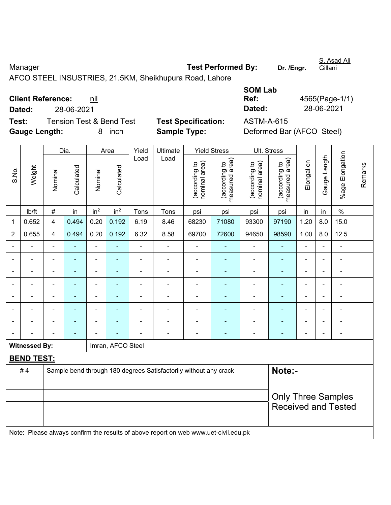Manager **Manager Test Performed By:** Dr. /Engr. AFCO STEEL INSUSTRIES, 21.5KM, Sheikhupura Road, Lahore

**Client Reference:** nil

**Test:** Tension Test & Bend Test **Test Specification:** ASTM-A-615 **Gauge Length:** 8 inch **Sample Type:** Deformed Bar (AFCO Steel)

 $\overline{a}$  and  $\overline{a}$  and  $\overline{a}$  and  $\overline{a}$  and  $\overline{a}$  and  $\overline{a}$  and  $\overline{a}$  and  $\overline{a}$  and  $\overline{a}$  and  $\overline{a}$  and  $\overline{a}$  and  $\overline{a}$  and  $\overline{a}$  and  $\overline{a}$  and  $\overline{a}$  and  $\overline{a}$  and  $\overline{a}$  and

|        | <b>Client Reference:</b>            |                            | Ref:       | 4565(Page-1) |
|--------|-------------------------------------|----------------------------|------------|--------------|
| Dated: | 28-06-2021                          |                            | Dated:     | 28-06-2021   |
| Test:  | <b>Tension Test &amp; Bend Test</b> | <b>Test Specification:</b> | ASTM-A-615 |              |

**Ref:** 4565(Page-1/1)

**SOM Lab** 

|                          |                      |                | Dia.           |                              | Area              | Yield                    | Ultimate                                                                            |                                | <b>Yield Stress</b>             |                                | Ult. Stress                                             |                |                |                 |         |
|--------------------------|----------------------|----------------|----------------|------------------------------|-------------------|--------------------------|-------------------------------------------------------------------------------------|--------------------------------|---------------------------------|--------------------------------|---------------------------------------------------------|----------------|----------------|-----------------|---------|
| S.No.                    | Weight               | Nominal        | Calculated     | Nominal                      | Calculated        | Load                     | Load                                                                                | nominal area)<br>(according to | measured area)<br>(according to | nominal area)<br>(according to | measured area)<br>(according to                         | Elongation     | Gauge Length   | %age Elongation | Remarks |
|                          | Ib/ft                | $\#$           | in             | in <sup>2</sup>              | in <sup>2</sup>   | Tons                     | Tons                                                                                | psi                            | psi                             | psi                            | psi                                                     | in             | in             | $\%$            |         |
| 1                        | 0.652                | $\overline{4}$ | 0.494          | 0.20                         | 0.192             | 6.19                     | 8.46                                                                                | 68230                          | 71080                           | 93300                          | 97190                                                   | 1.20           | 8.0            | 15.0            |         |
| $\overline{2}$           | 0.655                | 4              | 0.494          | 0.20                         | 0.192             | 6.32                     | 8.58                                                                                | 69700                          | 72600                           | 94650                          | 98590                                                   | 1.00           | 8.0            | 12.5            |         |
| $\blacksquare$           | $\blacksquare$       | $\blacksquare$ | Ē,             | ÷,                           | Ē.                | $\blacksquare$           | $\blacksquare$                                                                      | L,                             | $\overline{\phantom{a}}$        | $\blacksquare$                 | $\blacksquare$                                          | $\blacksquare$ | $\blacksquare$ | $\blacksquare$  |         |
|                          | $\blacksquare$       | $\blacksquare$ | $\blacksquare$ | $\qquad \qquad \blacksquare$ | ÷                 | $\blacksquare$           | ÷,                                                                                  | $\blacksquare$                 | $\overline{\phantom{a}}$        | $\overline{\phantom{a}}$       | $\blacksquare$                                          | $\blacksquare$ | ä,             |                 |         |
|                          |                      |                | L.             | ä,                           | $\blacksquare$    | $\blacksquare$           | ä,                                                                                  | $\blacksquare$                 | $\overline{\phantom{a}}$        | ä,                             | $\blacksquare$                                          | $\blacksquare$ | Ě.             | ä,              |         |
|                          |                      |                |                | ۰                            |                   | $\overline{\phantom{0}}$ | $\blacksquare$                                                                      | ٠                              |                                 |                                | $\blacksquare$                                          |                | ÷.             | ۳               |         |
|                          |                      |                |                | ä,                           |                   | Ē,                       | ÷                                                                                   | Ē,                             |                                 | ÷                              | ٠                                                       | $\blacksquare$ | Ē,             | ä,              |         |
| $\overline{\phantom{0}}$ | L,                   | $\blacksquare$ |                | ÷,                           | ÷                 | $\blacksquare$           | ÷                                                                                   | $\blacksquare$                 | $\blacksquare$                  | ÷                              | ÷,                                                      | $\blacksquare$ | $\frac{1}{2}$  |                 |         |
|                          |                      |                | ٠              | ÷                            | ٠                 | L,                       | $\blacksquare$                                                                      | $\overline{\phantom{a}}$       | $\overline{\phantom{a}}$        | $\blacksquare$                 | $\blacksquare$                                          | $\blacksquare$ | Ě.             | ÷               |         |
|                          |                      |                |                | ۰                            |                   | $\overline{\phantom{0}}$ | $\blacksquare$                                                                      | $\blacksquare$                 | $\overline{\phantom{a}}$        | ۰                              | $\blacksquare$                                          | $\blacksquare$ | $\blacksquare$ | $\blacksquare$  |         |
|                          | <b>Witnessed By:</b> |                |                |                              | Imran, AFCO Steel |                          |                                                                                     |                                |                                 |                                |                                                         |                |                |                 |         |
|                          | <b>BEND TEST:</b>    |                |                |                              |                   |                          |                                                                                     |                                |                                 |                                |                                                         |                |                |                 |         |
|                          | #4                   |                |                |                              |                   |                          | Sample bend through 180 degrees Satisfactorily without any crack                    |                                |                                 |                                | Note:-                                                  |                |                |                 |         |
|                          |                      |                |                |                              |                   |                          |                                                                                     |                                |                                 |                                |                                                         |                |                |                 |         |
|                          |                      |                |                |                              |                   |                          |                                                                                     |                                |                                 |                                | <b>Only Three Samples</b><br><b>Received and Tested</b> |                |                |                 |         |
|                          |                      |                |                |                              |                   |                          | Note: Please always confirm the results of above report on web www.uet-civil.edu.pk |                                |                                 |                                |                                                         |                |                |                 |         |

S. Asad Ali

Gillani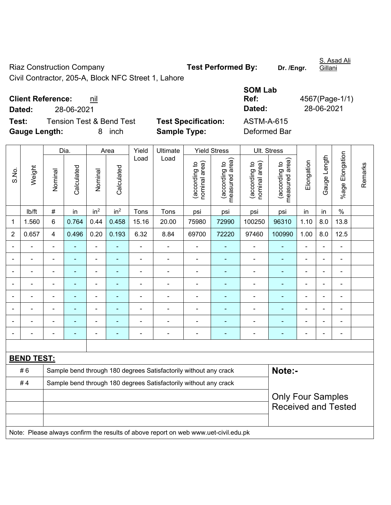Riaz Construction Company **Test Performed By:** Dr. /Engr.

S. Asad Ali

Civil Contractor, 205-A, Block NFC Street 1, Lahore

**Client Reference:** nil

**Dated:** 28-06-2021 **Dated:** 28-06-2021

**Test:** Tension Test & Bend Test **Test Specification: Gauge Length:** 8 inch **Sample Type:** Deformed Bar

| <b>SOM Lab</b> |                |
|----------------|----------------|
| Ref:           | 4567(Page-1/1) |
| Dated:         | 28-06-2021     |
| ASTM-A-615     |                |
| Deformed Rar   |                |

|                |                   |                         | Dia.           |                 | Area            | Yield          | Ultimate                                                                            |                                | <b>Yield Stress</b>                         |                                | Ult. Stress                                            |                |                          |                         |         |
|----------------|-------------------|-------------------------|----------------|-----------------|-----------------|----------------|-------------------------------------------------------------------------------------|--------------------------------|---------------------------------------------|--------------------------------|--------------------------------------------------------|----------------|--------------------------|-------------------------|---------|
| S.No.          | Weight            | Nominal                 | Calculated     | Nominal         | Calculated      | Load           | Load                                                                                | nominal area)<br>(according to | (according to<br>measured area)<br>measured | nominal area)<br>(according to | (according to<br>measured area)                        | Elongation     | Gauge Length             | Elongation<br>$%$ age I | Remarks |
|                | lb/ft             | $\#$                    | in             | in <sup>2</sup> | in <sup>2</sup> | Tons           | Tons                                                                                | psi                            | psi                                         | psi                            | psi                                                    | in             | in                       | $\%$                    |         |
| 1              | 1.560             | 6                       | 0.764          | 0.44            | 0.458           | 15.16          | 20.00                                                                               | 75980                          | 72990                                       | 100250                         | 96310                                                  | 1.10           | 8.0                      | 13.8                    |         |
| $\overline{2}$ | 0.657             | $\overline{\mathbf{4}}$ | 0.496          | 0.20            | 0.193           | 6.32           | 8.84                                                                                | 69700                          | 72220                                       | 97460                          | 100990                                                 | 1.00           | 8.0                      | 12.5                    |         |
|                | ÷                 | $\blacksquare$          |                | ä,              | ۰               | $\blacksquare$ | $\blacksquare$                                                                      | $\blacksquare$                 | $\blacksquare$                              | $\blacksquare$                 | ۰                                                      | ä,             | $\blacksquare$           | $\blacksquare$          |         |
|                | ÷                 | $\blacksquare$          | $\blacksquare$ | $\blacksquare$  | ۰               | $\blacksquare$ | ÷,                                                                                  | $\blacksquare$                 | $\blacksquare$                              | $\blacksquare$                 | ٠                                                      | $\blacksquare$ | $\blacksquare$           | $\blacksquare$          |         |
|                | $\blacksquare$    | $\blacksquare$          | $\blacksquare$ | $\frac{1}{2}$   | $\blacksquare$  | ä,             | $\blacksquare$                                                                      | $\blacksquare$                 | $\blacksquare$                              | $\blacksquare$                 | ٠                                                      | $\blacksquare$ | $\blacksquare$           | $\tilde{\phantom{a}}$   |         |
|                |                   |                         |                | ÷               | $\blacksquare$  | ä,             | $\blacksquare$                                                                      |                                | ٠                                           | ä,                             | ۰                                                      |                |                          | $\blacksquare$          |         |
|                |                   |                         |                | ۰               |                 | $\blacksquare$ | $\blacksquare$                                                                      |                                |                                             | $\overline{a}$                 | ۰                                                      |                |                          | -                       |         |
|                |                   |                         |                | $\blacksquare$  |                 | $\blacksquare$ | $\blacksquare$                                                                      | $\blacksquare$                 |                                             | ä,                             | $\blacksquare$                                         | $\blacksquare$ |                          | $\blacksquare$          |         |
|                |                   |                         |                | ÷               | ۰               | ä,             | $\blacksquare$                                                                      |                                |                                             | -                              | ÷                                                      |                | $\blacksquare$           | -                       |         |
|                |                   |                         |                | ÷,              | ۰               | $\blacksquare$ | $\blacksquare$                                                                      | $\blacksquare$                 | $\blacksquare$                              | $\overline{a}$                 | ۰                                                      | $\blacksquare$ | $\overline{\phantom{0}}$ | $\blacksquare$          |         |
|                |                   |                         |                |                 |                 |                |                                                                                     |                                |                                             |                                |                                                        |                |                          |                         |         |
|                | <b>BEND TEST:</b> |                         |                |                 |                 |                |                                                                                     |                                |                                             |                                |                                                        |                |                          |                         |         |
|                | #6                |                         |                |                 |                 |                | Sample bend through 180 degrees Satisfactorily without any crack                    |                                |                                             |                                | Note:-                                                 |                |                          |                         |         |
|                | #4                |                         |                |                 |                 |                | Sample bend through 180 degrees Satisfactorily without any crack                    |                                |                                             |                                |                                                        |                |                          |                         |         |
|                |                   |                         |                |                 |                 |                |                                                                                     |                                |                                             |                                | <b>Only Four Samples</b><br><b>Received and Tested</b> |                |                          |                         |         |
|                |                   |                         |                |                 |                 |                | Note: Please always confirm the results of above report on web www.uet-civil.edu.pk |                                |                                             |                                |                                                        |                |                          |                         |         |

Gillani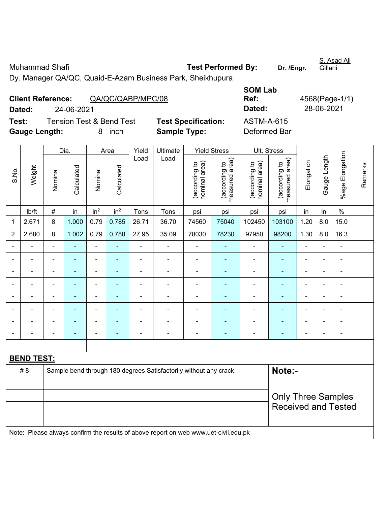Muhammad Shafi **National Shafi Control Control Control Test Performed By:** Dr. /Engr. Gillani **SOM Lab** 

|                | <b>Gauge Length:</b> |                           |                | 8<br>inch       |                 |                | <b>Sample Type:</b>                                                                 |                                |                                 | Deformed Bar                   |                                 |            |              |                 |         |
|----------------|----------------------|---------------------------|----------------|-----------------|-----------------|----------------|-------------------------------------------------------------------------------------|--------------------------------|---------------------------------|--------------------------------|---------------------------------|------------|--------------|-----------------|---------|
|                |                      |                           | Dia.           |                 | Area            | Yield          | Ultimate                                                                            |                                | <b>Yield Stress</b>             | Ult. Stress                    |                                 |            |              |                 |         |
| S.No.          | Weight               | Nominal                   | Calculated     | Nominal         | Calculated      | Load           | Load                                                                                | (according to<br>nominal area) | (according to<br>measured area) | nominal area)<br>(according to | measured area)<br>(according to | Elongation | Gauge Length | %age Elongation | Remarks |
|                | lb/ft                | $\#$                      | in             | in <sup>2</sup> | in <sup>2</sup> | Tons           | Tons                                                                                | psi                            | psi                             | psi                            | psi                             | in         | in           | $\%$            |         |
| $\mathbf 1$    | 2.671                | $\,8\,$                   | 1.000          | 0.79            | 0.785           | 26.71          | 36.70                                                                               | 74560                          | 75040                           | 102450                         | 103100                          | 1.20       | 8.0          | 15.0            |         |
| $\overline{2}$ | 2.680                | 8                         | 1.002          | 0.79            | 0.788           | 27.95          | 35.09                                                                               | 78030                          | 78230                           | 97950                          | 98200                           | 1.30       | 8.0          | 16.3            |         |
|                |                      | $\blacksquare$            | $\blacksquare$ | ÷,              | ä,              | $\blacksquare$ | ä,                                                                                  | $\blacksquare$                 | ÷                               | $\blacksquare$                 | $\blacksquare$                  | ä,         | ä,           | ä,              |         |
|                |                      | ä,                        | ä,             | ÷,              | ÷               | $\blacksquare$ | ä,                                                                                  | $\blacksquare$                 | ÷                               | $\blacksquare$                 | ÷,                              | ÷,         | ä,           | ä,              |         |
|                |                      | ä,                        |                | ÷               |                 |                | $\blacksquare$                                                                      | $\overline{\phantom{a}}$       | ÷                               | ÷,                             | $\blacksquare$                  |            |              | ä,              |         |
|                |                      | ä,                        |                | $\blacksquare$  | ۳               |                | $\blacksquare$                                                                      | $\blacksquare$                 | ۰                               | ä,                             | ä,                              |            |              | ä,              |         |
|                |                      | $\blacksquare$            |                | ä,              |                 |                | ä,                                                                                  | $\blacksquare$                 | ä,                              | ä,                             | ä,                              |            |              | Ě.              |         |
|                |                      | ÷                         |                | $\blacksquare$  |                 |                |                                                                                     | $\blacksquare$                 | ÷                               | ä,                             | $\blacksquare$                  |            |              | ä,              |         |
|                |                      |                           |                | $\blacksquare$  |                 |                |                                                                                     | $\blacksquare$                 | $\blacksquare$                  |                                | ٠                               |            |              | ۰               |         |
|                |                      |                           |                | ٠               |                 |                |                                                                                     |                                | ÷                               |                                | $\blacksquare$                  |            |              | $\blacksquare$  |         |
|                |                      |                           |                |                 |                 |                |                                                                                     |                                |                                 |                                |                                 |            |              |                 |         |
|                | <b>BEND TEST:</b>    |                           |                |                 |                 |                |                                                                                     |                                |                                 |                                |                                 |            |              |                 |         |
|                | # 8                  |                           |                |                 |                 |                | Sample bend through 180 degrees Satisfactorily without any crack                    |                                |                                 |                                | Note:-                          |            |              |                 |         |
|                |                      |                           |                |                 |                 |                |                                                                                     |                                |                                 |                                |                                 |            |              |                 |         |
|                |                      | <b>Only Three Samples</b> |                |                 |                 |                |                                                                                     |                                |                                 |                                |                                 |            |              |                 |         |
|                |                      |                           |                |                 |                 |                |                                                                                     |                                |                                 |                                | <b>Received and Tested</b>      |            |              |                 |         |
|                |                      |                           |                |                 |                 |                | Note: Please always confirm the results of above report on web www.uet-civil.edu.pk |                                |                                 |                                |                                 |            |              |                 |         |

Dy. Manager QA/QC, Quaid-E-Azam Business Park, Sheikhupura

S. Asad Ali

**Dated:** 24-06-2021 **Dated:** 28-06-2021

**Ref:** 4568(Page-1/1)

**Client Reference:** QA/QC/QABP/MPC/08

**Test:** Tension Test & Bend Test **Test Specification:** ASTM-A-615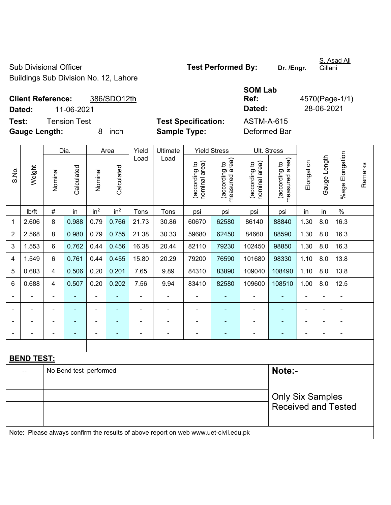Sub Divisional Officer **Test Performed By:** Dr. /Engr. Buildings Sub Division No. 12, Lahore

**Client Reference:** 386/SDO12th **Dated:** 11-06-2021 **Dated:** 28-06-2021 **Test:** Tension Test **Test Specification:** ASTM-A-615 **Gauge Length:** 8 inch **Sample Type:** Deformed Bar

**SOM Lab Ref:** 4570(Page-1/1)

|                |                   | Dia.                    |                        | Area            | Yield           | Ultimate |                                                                                     | <b>Yield Stress</b>           | Ult. Stress                     |                                |                                 |                |              |                      |         |
|----------------|-------------------|-------------------------|------------------------|-----------------|-----------------|----------|-------------------------------------------------------------------------------------|-------------------------------|---------------------------------|--------------------------------|---------------------------------|----------------|--------------|----------------------|---------|
| S.No.          | Weight            | Nominal                 | Calculated             | Nominal         | Calculated      | Load     | Load                                                                                | nominal area)<br>according to | measured area)<br>(according to | (according to<br>nominal area) | (according to<br>measured area) | Elongation     | Gauge Length | Elongation<br>%age l | Remarks |
|                | lb/ft             | $\#$                    | in                     | in <sup>2</sup> | in <sup>2</sup> | Tons     | Tons                                                                                | psi                           | psi                             | psi                            | psi                             | in             | in           | $\%$                 |         |
| 1              | 2.606             | 8                       | 0.988                  | 0.79            | 0.766           | 21.73    | 30.86                                                                               | 60670                         | 62580                           | 86140                          | 88840                           | 1.30           | 8.0          | 16.3                 |         |
| $\overline{2}$ | 2.568             | 8                       | 0.980                  | 0.79            | 0.755           | 21.38    | 30.33                                                                               | 59680                         | 62450                           | 84660                          | 88590                           | 1.30           | 8.0          | 16.3                 |         |
| 3              | 1.553             | 6                       | 0.762                  | 0.44            | 0.456           | 16.38    | 20.44                                                                               | 82110                         | 79230                           | 102450                         | 98850                           | 1.30           | 8.0          | 16.3                 |         |
| 4              | 1.549             | $6\phantom{a}$          | 0.761                  | 0.44            | 0.455           | 15.80    | 20.29                                                                               | 79200                         | 76590                           | 101680                         | 98330                           | 1.10           | 8.0          | 13.8                 |         |
| 5              | 0.683             | $\overline{\mathbf{4}}$ | 0.506                  | 0.20            | 0.201           | 7.65     | 9.89                                                                                | 84310                         | 83890                           | 109040                         | 108490                          | 1.10           | 8.0          | 13.8                 |         |
| 6              | 0.688             | $\overline{4}$          | 0.507                  | 0.20            | 0.202           | 7.56     | 9.94                                                                                | 83410                         | 82580                           | 109600                         | 108510                          | 1.00           | 8.0          | 12.5                 |         |
|                |                   |                         |                        |                 |                 |          |                                                                                     |                               |                                 |                                |                                 |                |              | ä,                   |         |
|                |                   |                         | ÷                      | ÷               |                 |          | $\blacksquare$                                                                      | $\blacksquare$                |                                 | $\blacksquare$                 | ä,                              |                |              | ۰                    |         |
|                |                   |                         |                        | -               |                 |          |                                                                                     | -                             |                                 |                                |                                 |                |              | $\blacksquare$       |         |
|                |                   |                         | ۰                      | ٠               |                 |          | $\overline{\phantom{0}}$                                                            | $\overline{a}$                | $\blacksquare$                  | $\blacksquare$                 | ۰                               | $\blacksquare$ |              | ۰                    |         |
|                |                   |                         |                        |                 |                 |          |                                                                                     |                               |                                 |                                |                                 |                |              |                      |         |
|                | <b>BEND TEST:</b> |                         |                        |                 |                 |          |                                                                                     |                               |                                 |                                |                                 |                |              |                      |         |
|                |                   |                         | No Bend test performed |                 |                 |          |                                                                                     |                               |                                 |                                | Note:-                          |                |              |                      |         |
|                |                   |                         |                        |                 |                 |          |                                                                                     |                               |                                 |                                |                                 |                |              |                      |         |
|                |                   |                         |                        |                 |                 |          |                                                                                     |                               |                                 |                                | <b>Only Six Samples</b>         |                |              |                      |         |
|                |                   |                         |                        |                 |                 |          |                                                                                     |                               |                                 |                                | <b>Received and Tested</b>      |                |              |                      |         |
|                |                   |                         |                        |                 |                 |          |                                                                                     |                               |                                 |                                |                                 |                |              |                      |         |
|                |                   |                         |                        |                 |                 |          | Note: Please always confirm the results of above report on web www.uet-civil.edu.pk |                               |                                 |                                |                                 |                |              |                      |         |
|                |                   |                         |                        |                 |                 |          |                                                                                     |                               |                                 |                                |                                 |                |              |                      |         |

S. Asad Ali Gillani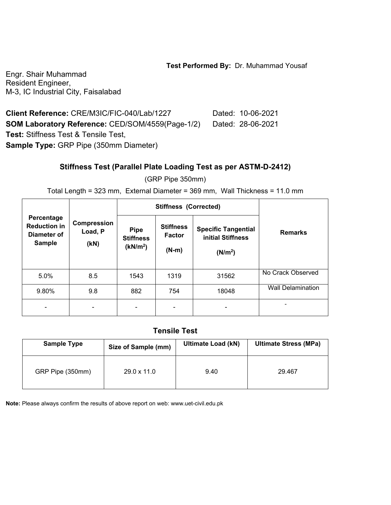#### **Test Performed By:** Dr. Muhammad Yousaf

Engr. Shair Muhammad Resident Engineer, M-3, IC Industrial City, Faisalabad

**Client Reference:** CRE/M3IC/FIC-040/Lab/1227 Dated: 10-06-2021 **SOM Laboratory Reference:** CED/SOM/4559(Page-1/2) Dated: 28-06-2021 **Test:** Stiffness Test & Tensile Test, **Sample Type:** GRP Pipe (350mm Diameter)

### **Stiffness Test (Parallel Plate Loading Test as per ASTM-D-2412)**

(GRP Pipe 350mm)

Total Length = 323 mm, External Diameter = 369 mm, Wall Thickness = 11.0 mm

|                                                                   |                                       |                                                         | <b>Stiffness (Corrected)</b>                 |                                                                        |                          |
|-------------------------------------------------------------------|---------------------------------------|---------------------------------------------------------|----------------------------------------------|------------------------------------------------------------------------|--------------------------|
| Percentage<br><b>Reduction in</b><br>Diameter of<br><b>Sample</b> | <b>Compression</b><br>Load, P<br>(KN) | <b>Pipe</b><br><b>Stiffness</b><br>(kN/m <sup>2</sup> ) | <b>Stiffness</b><br><b>Factor</b><br>$(N-m)$ | <b>Specific Tangential</b><br>initial Stiffness<br>(N/m <sup>2</sup> ) | <b>Remarks</b>           |
| 5.0%                                                              | 8.5                                   | 1543                                                    | 1319                                         | 31562                                                                  | No Crack Observed        |
| 9.80%                                                             | 9.8                                   | 882                                                     | 754                                          | 18048                                                                  | <b>Wall Delamination</b> |
|                                                                   |                                       |                                                         |                                              |                                                                        |                          |

### **Tensile Test**

| <b>Sample Type</b> | Size of Sample (mm) | <b>Ultimate Load (kN)</b> | <b>Ultimate Stress (MPa)</b> |  |
|--------------------|---------------------|---------------------------|------------------------------|--|
| GRP Pipe (350mm)   | $29.0 \times 11.0$  | 9.40                      | 29.467                       |  |

**Note:** Please always confirm the results of above report on web: www.uet-civil.edu.pk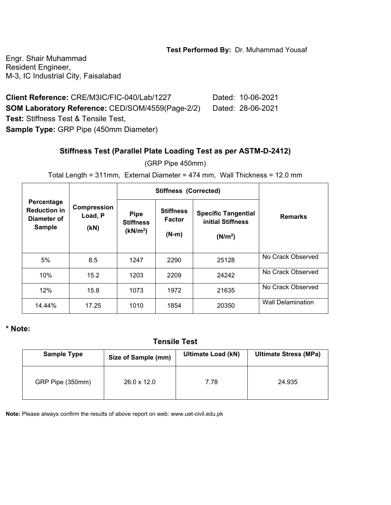#### **Test Performed By:** Dr. Muhammad Yousaf

Engr. Shair Muhammad Resident Engineer, M-3, IC Industrial City, Faisalabad

**Client Reference:** CRE/M3IC/FIC-040/Lab/1227 Dated: 10-06-2021 **SOM Laboratory Reference:** CED/SOM/4559(Page-2/2) Dated: 28-06-2021 **Test:** Stiffness Test & Tensile Test, **Sample Type:** GRP Pipe (450mm Diameter)

### **Stiffness Test (Parallel Plate Loading Test as per ASTM-D-2412)**

(GRP Pipe 450mm)

Total Length = 311mm, External Diameter = 474 mm, Wall Thickness = 12.0 mm

|                                                                   | Compression<br>Load, P<br>(KN) |                                                         | <b>Stiffness (Corrected)</b>                 |                                                                        |                          |
|-------------------------------------------------------------------|--------------------------------|---------------------------------------------------------|----------------------------------------------|------------------------------------------------------------------------|--------------------------|
| Percentage<br><b>Reduction in</b><br>Diameter of<br><b>Sample</b> |                                | <b>Pipe</b><br><b>Stiffness</b><br>(kN/m <sup>2</sup> ) | <b>Stiffness</b><br><b>Factor</b><br>$(N-m)$ | <b>Specific Tangential</b><br>initial Stiffness<br>(N/m <sup>2</sup> ) | <b>Remarks</b>           |
| 5%                                                                | 8.5                            | 1247                                                    | 2290                                         | 25128                                                                  | No Crack Observed        |
| 10%                                                               | 15.2                           | 1203                                                    | 2209                                         | 24242                                                                  | No Crack Observed        |
| 12%                                                               | 15.8                           | 1073                                                    | 1972                                         | 21635                                                                  | No Crack Observed        |
| 14.44%                                                            | 17.25                          | 1010                                                    | 1854                                         | 20350                                                                  | <b>Wall Delamination</b> |

#### **\* Note:**

**Tensile Test** 

| <b>Sample Type</b> | Size of Sample (mm) | <b>Ultimate Load (kN)</b> | <b>Ultimate Stress (MPa)</b> |  |
|--------------------|---------------------|---------------------------|------------------------------|--|
| GRP Pipe (350mm)   | $26.0 \times 12.0$  | 7.78                      | 24.935                       |  |

**Note:** Please always confirm the results of above report on web: www.uet-civil.edu.pk